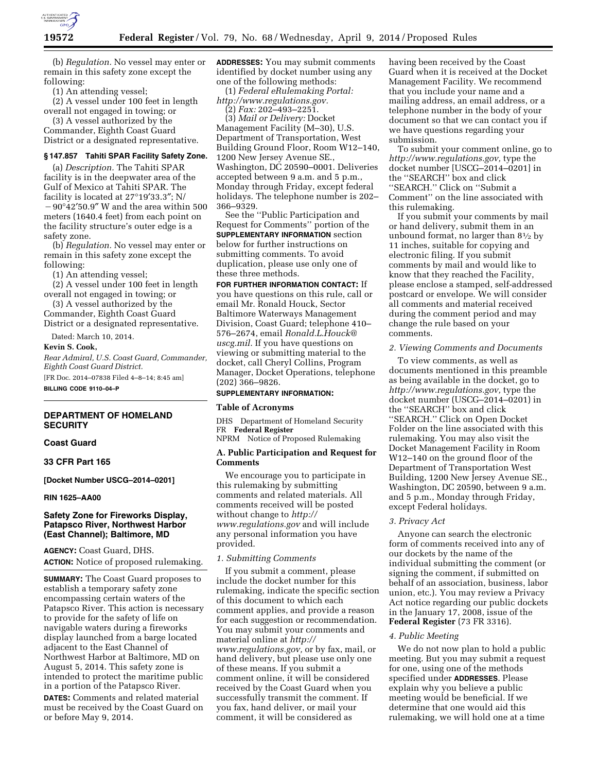

(b) *Regulation.* No vessel may enter or remain in this safety zone except the following:

(1) An attending vessel;

(2) A vessel under 100 feet in length overall not engaged in towing; or

(3) A vessel authorized by the Commander, Eighth Coast Guard District or a designated representative.

### **§ 147.857 Tahiti SPAR Facility Safety Zone.**

(a) *Description.* The Tahiti SPAR facility is in the deepwater area of the Gulf of Mexico at Tahiti SPAR. The facility is located at 27°19′33.3″; N/  $-90^{\circ}42'50.9''$  W and the area within 500 meters (1640.4 feet) from each point on the facility structure's outer edge is a safety zone.

(b) *Regulation.* No vessel may enter or remain in this safety zone except the following:

(1) An attending vessel;

(2) A vessel under 100 feet in length overall not engaged in towing; or

(3) A vessel authorized by the Commander, Eighth Coast Guard District or a designated representative.

Dated: March 10, 2014.

**Kevin S. Cook,** 

*Rear Admiral, U.S. Coast Guard, Commander, Eighth Coast Guard District.* 

[FR Doc. 2014–07838 Filed 4–8–14; 8:45 am] **BILLING CODE 9110–04–P** 

# **DEPARTMENT OF HOMELAND SECURITY**

#### **Coast Guard**

**33 CFR Part 165** 

**[Docket Number USCG–2014–0201]** 

# **RIN 1625–AA00**

# **Safety Zone for Fireworks Display, Patapsco River, Northwest Harbor (East Channel); Baltimore, MD**

**AGENCY:** Coast Guard, DHS. **ACTION:** Notice of proposed rulemaking.

**SUMMARY:** The Coast Guard proposes to establish a temporary safety zone encompassing certain waters of the Patapsco River. This action is necessary to provide for the safety of life on navigable waters during a fireworks display launched from a barge located adjacent to the East Channel of Northwest Harbor at Baltimore, MD on August 5, 2014. This safety zone is intended to protect the maritime public in a portion of the Patapsco River.

**DATES:** Comments and related material must be received by the Coast Guard on or before May 9, 2014.

**ADDRESSES:** You may submit comments identified by docket number using any one of the following methods:

(1) *Federal eRulemaking Portal: [http://www.regulations.gov.](http://www.regulations.gov)* 

(2) *Fax:* 202–493–2251.

(3) *Mail or Delivery:* Docket Management Facility (M–30), U.S. Department of Transportation, West Building Ground Floor, Room W12–140, 1200 New Jersey Avenue SE., Washington, DC 20590–0001. Deliveries accepted between 9 a.m. and 5 p.m., Monday through Friday, except federal holidays. The telephone number is 202– 366–9329.

See the ''Public Participation and Request for Comments'' portion of the **SUPPLEMENTARY INFORMATION** section below for further instructions on submitting comments. To avoid duplication, please use only one of these three methods.

**FOR FURTHER INFORMATION CONTACT:** If you have questions on this rule, call or email Mr. Ronald Houck, Sector Baltimore Waterways Management Division, Coast Guard; telephone 410– 576–2674, email *[Ronald.L.Houck@](mailto:Ronald.L.Houck@uscg.mil) [uscg.mil.](mailto:Ronald.L.Houck@uscg.mil)* If you have questions on viewing or submitting material to the docket, call Cheryl Collins, Program Manager, Docket Operations, telephone (202) 366–9826.

#### **SUPPLEMENTARY INFORMATION:**

# **Table of Acronyms**

DHS Department of Homeland Security FR **Federal Register** 

NPRM Notice of Proposed Rulemaking

# **A. Public Participation and Request for Comments**

We encourage you to participate in this rulemaking by submitting comments and related materials. All comments received will be posted without change to *[http://](http://www.regulations.gov) [www.regulations.gov](http://www.regulations.gov)* and will include any personal information you have provided.

#### *1. Submitting Comments*

If you submit a comment, please include the docket number for this rulemaking, indicate the specific section of this document to which each comment applies, and provide a reason for each suggestion or recommendation. You may submit your comments and material online at *[http://](http://www.regulations.gov) [www.regulations.gov,](http://www.regulations.gov)* or by fax, mail, or hand delivery, but please use only one of these means. If you submit a comment online, it will be considered received by the Coast Guard when you successfully transmit the comment. If you fax, hand deliver, or mail your comment, it will be considered as

having been received by the Coast Guard when it is received at the Docket Management Facility. We recommend that you include your name and a mailing address, an email address, or a telephone number in the body of your document so that we can contact you if we have questions regarding your submission.

To submit your comment online, go to *[http://www.regulations.gov,](http://www.regulations.gov)* type the docket number [USCG–2014–0201] in the ''SEARCH'' box and click ''SEARCH.'' Click on ''Submit a Comment'' on the line associated with this rulemaking.

If you submit your comments by mail or hand delivery, submit them in an unbound format, no larger than 81⁄2 by 11 inches, suitable for copying and electronic filing. If you submit comments by mail and would like to know that they reached the Facility, please enclose a stamped, self-addressed postcard or envelope. We will consider all comments and material received during the comment period and may change the rule based on your comments.

#### *2. Viewing Comments and Documents*

To view comments, as well as documents mentioned in this preamble as being available in the docket, go to *[http://www.regulations.gov,](http://www.regulations.gov)* type the docket number (USCG–2014–0201) in the ''SEARCH'' box and click ''SEARCH.'' Click on Open Docket Folder on the line associated with this rulemaking. You may also visit the Docket Management Facility in Room W12–140 on the ground floor of the Department of Transportation West Building, 1200 New Jersey Avenue SE., Washington, DC 20590, between 9 a.m. and 5 p.m., Monday through Friday, except Federal holidays.

#### *3. Privacy Act*

Anyone can search the electronic form of comments received into any of our dockets by the name of the individual submitting the comment (or signing the comment, if submitted on behalf of an association, business, labor union, etc.). You may review a Privacy Act notice regarding our public dockets in the January 17, 2008, issue of the **Federal Register** (73 FR 3316).

#### *4. Public Meeting*

We do not now plan to hold a public meeting. But you may submit a request for one, using one of the methods specified under **ADDRESSES**. Please explain why you believe a public meeting would be beneficial. If we determine that one would aid this rulemaking, we will hold one at a time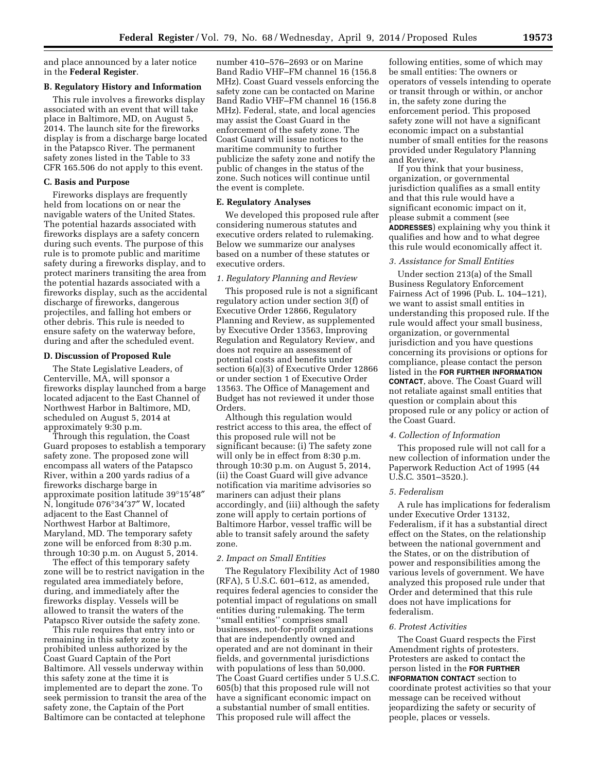and place announced by a later notice in the **Federal Register**.

#### **B. Regulatory History and Information**

This rule involves a fireworks display associated with an event that will take place in Baltimore, MD, on August 5, 2014. The launch site for the fireworks display is from a discharge barge located in the Patapsco River. The permanent safety zones listed in the Table to 33 CFR 165.506 do not apply to this event.

### **C. Basis and Purpose**

Fireworks displays are frequently held from locations on or near the navigable waters of the United States. The potential hazards associated with fireworks displays are a safety concern during such events. The purpose of this rule is to promote public and maritime safety during a fireworks display, and to protect mariners transiting the area from the potential hazards associated with a fireworks display, such as the accidental discharge of fireworks, dangerous projectiles, and falling hot embers or other debris. This rule is needed to ensure safety on the waterway before, during and after the scheduled event.

#### **D. Discussion of Proposed Rule**

The State Legislative Leaders, of Centerville, MA, will sponsor a fireworks display launched from a barge located adjacent to the East Channel of Northwest Harbor in Baltimore, MD, scheduled on August 5, 2014 at approximately 9:30 p.m.

Through this regulation, the Coast Guard proposes to establish a temporary safety zone. The proposed zone will encompass all waters of the Patapsco River, within a 200 yards radius of a fireworks discharge barge in approximate position latitude 39°15′48″ N, longitude 076°34′37″ W, located adjacent to the East Channel of Northwest Harbor at Baltimore, Maryland, MD. The temporary safety zone will be enforced from 8:30 p.m. through 10:30 p.m. on August 5, 2014.

The effect of this temporary safety zone will be to restrict navigation in the regulated area immediately before, during, and immediately after the fireworks display. Vessels will be allowed to transit the waters of the Patapsco River outside the safety zone.

This rule requires that entry into or remaining in this safety zone is prohibited unless authorized by the Coast Guard Captain of the Port Baltimore. All vessels underway within this safety zone at the time it is implemented are to depart the zone. To seek permission to transit the area of the safety zone, the Captain of the Port Baltimore can be contacted at telephone

number 410–576–2693 or on Marine Band Radio VHF–FM channel 16 (156.8 MHz). Coast Guard vessels enforcing the safety zone can be contacted on Marine Band Radio VHF–FM channel 16 (156.8 MHz). Federal, state, and local agencies may assist the Coast Guard in the enforcement of the safety zone. The Coast Guard will issue notices to the maritime community to further publicize the safety zone and notify the public of changes in the status of the zone. Such notices will continue until the event is complete.

# **E. Regulatory Analyses**

We developed this proposed rule after considering numerous statutes and executive orders related to rulemaking. Below we summarize our analyses based on a number of these statutes or executive orders.

# *1. Regulatory Planning and Review*

This proposed rule is not a significant regulatory action under section 3(f) of Executive Order 12866, Regulatory Planning and Review, as supplemented by Executive Order 13563, Improving Regulation and Regulatory Review, and does not require an assessment of potential costs and benefits under section 6(a)(3) of Executive Order 12866 or under section 1 of Executive Order 13563. The Office of Management and Budget has not reviewed it under those Orders.

Although this regulation would restrict access to this area, the effect of this proposed rule will not be significant because: (i) The safety zone will only be in effect from 8:30 p.m. through 10:30 p.m. on August 5, 2014, (ii) the Coast Guard will give advance notification via maritime advisories so mariners can adjust their plans accordingly, and (iii) although the safety zone will apply to certain portions of Baltimore Harbor, vessel traffic will be able to transit safely around the safety zone.

# *2. Impact on Small Entities*

The Regulatory Flexibility Act of 1980 (RFA), 5 U.S.C. 601–612, as amended, requires federal agencies to consider the potential impact of regulations on small entities during rulemaking. The term ''small entities'' comprises small businesses, not-for-profit organizations that are independently owned and operated and are not dominant in their fields, and governmental jurisdictions with populations of less than 50,000. The Coast Guard certifies under 5 U.S.C. 605(b) that this proposed rule will not have a significant economic impact on a substantial number of small entities. This proposed rule will affect the

following entities, some of which may be small entities: The owners or operators of vessels intending to operate or transit through or within, or anchor in, the safety zone during the enforcement period. This proposed safety zone will not have a significant economic impact on a substantial number of small entities for the reasons provided under Regulatory Planning and Review.

If you think that your business, organization, or governmental jurisdiction qualifies as a small entity and that this rule would have a significant economic impact on it, please submit a comment (see **ADDRESSES**) explaining why you think it qualifies and how and to what degree this rule would economically affect it.

### *3. Assistance for Small Entities*

Under section 213(a) of the Small Business Regulatory Enforcement Fairness Act of 1996 (Pub. L. 104–121), we want to assist small entities in understanding this proposed rule. If the rule would affect your small business, organization, or governmental jurisdiction and you have questions concerning its provisions or options for compliance, please contact the person listed in the **FOR FURTHER INFORMATION CONTACT**, above. The Coast Guard will not retaliate against small entities that question or complain about this proposed rule or any policy or action of the Coast Guard.

# *4. Collection of Information*

This proposed rule will not call for a new collection of information under the Paperwork Reduction Act of 1995 (44 U.S.C. 3501–3520.).

#### *5. Federalism*

A rule has implications for federalism under Executive Order 13132, Federalism, if it has a substantial direct effect on the States, on the relationship between the national government and the States, or on the distribution of power and responsibilities among the various levels of government. We have analyzed this proposed rule under that Order and determined that this rule does not have implications for federalism.

# *6. Protest Activities*

The Coast Guard respects the First Amendment rights of protesters. Protesters are asked to contact the person listed in the **FOR FURTHER INFORMATION CONTACT** section to coordinate protest activities so that your message can be received without jeopardizing the safety or security of people, places or vessels.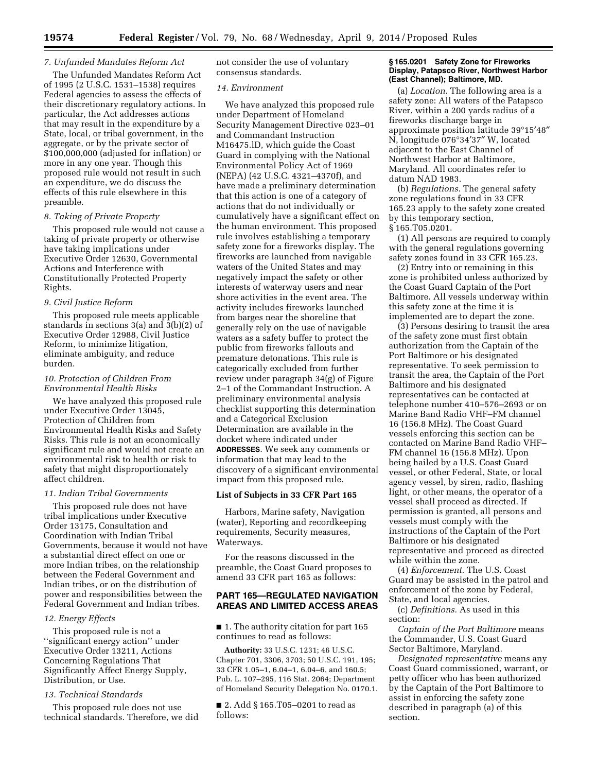# *7. Unfunded Mandates Reform Act*

The Unfunded Mandates Reform Act of 1995 (2 U.S.C. 1531–1538) requires Federal agencies to assess the effects of their discretionary regulatory actions. In particular, the Act addresses actions that may result in the expenditure by a State, local, or tribal government, in the aggregate, or by the private sector of \$100,000,000 (adjusted for inflation) or more in any one year. Though this proposed rule would not result in such an expenditure, we do discuss the effects of this rule elsewhere in this preamble.

# *8. Taking of Private Property*

This proposed rule would not cause a taking of private property or otherwise have taking implications under Executive Order 12630, Governmental Actions and Interference with Constitutionally Protected Property Rights.

#### *9. Civil Justice Reform*

This proposed rule meets applicable standards in sections 3(a) and 3(b)(2) of Executive Order 12988, Civil Justice Reform, to minimize litigation, eliminate ambiguity, and reduce burden.

### *10. Protection of Children From Environmental Health Risks*

We have analyzed this proposed rule under Executive Order 13045, Protection of Children from Environmental Health Risks and Safety Risks. This rule is not an economically significant rule and would not create an environmental risk to health or risk to safety that might disproportionately affect children.

#### *11. Indian Tribal Governments*

This proposed rule does not have tribal implications under Executive Order 13175, Consultation and Coordination with Indian Tribal Governments, because it would not have a substantial direct effect on one or more Indian tribes, on the relationship between the Federal Government and Indian tribes, or on the distribution of power and responsibilities between the Federal Government and Indian tribes.

#### *12. Energy Effects*

This proposed rule is not a ''significant energy action'' under Executive Order 13211, Actions Concerning Regulations That Significantly Affect Energy Supply, Distribution, or Use.

# *13. Technical Standards*

This proposed rule does not use technical standards. Therefore, we did not consider the use of voluntary consensus standards.

## *14. Environment*

We have analyzed this proposed rule under Department of Homeland Security Management Directive 023–01 and Commandant Instruction M16475.lD, which guide the Coast Guard in complying with the National Environmental Policy Act of 1969 (NEPA) (42 U.S.C. 4321–4370f), and have made a preliminary determination that this action is one of a category of actions that do not individually or cumulatively have a significant effect on the human environment. This proposed rule involves establishing a temporary safety zone for a fireworks display. The fireworks are launched from navigable waters of the United States and may negatively impact the safety or other interests of waterway users and near shore activities in the event area. The activity includes fireworks launched from barges near the shoreline that generally rely on the use of navigable waters as a safety buffer to protect the public from fireworks fallouts and premature detonations. This rule is categorically excluded from further review under paragraph 34(g) of Figure 2–1 of the Commandant Instruction. A preliminary environmental analysis checklist supporting this determination and a Categorical Exclusion Determination are available in the docket where indicated under **ADDRESSES**. We seek any comments or information that may lead to the discovery of a significant environmental impact from this proposed rule.

# **List of Subjects in 33 CFR Part 165**

Harbors, Marine safety, Navigation (water), Reporting and recordkeeping requirements, Security measures, Waterways.

For the reasons discussed in the preamble, the Coast Guard proposes to amend 33 CFR part 165 as follows:

# **PART 165—REGULATED NAVIGATION AREAS AND LIMITED ACCESS AREAS**

■ 1. The authority citation for part 165 continues to read as follows:

**Authority:** 33 U.S.C. 1231; 46 U.S.C. Chapter 701, 3306, 3703; 50 U.S.C. 191, 195; 33 CFR 1.05–1, 6.04–1, 6.04–6, and 160.5; Pub. L. 107–295, 116 Stat. 2064; Department of Homeland Security Delegation No. 0170.1.

■ 2. Add § 165.T05–0201 to read as follows:

### **§ 165.0201 Safety Zone for Fireworks Display, Patapsco River, Northwest Harbor (East Channel); Baltimore, MD.**

(a) *Location.* The following area is a safety zone: All waters of the Patapsco River, within a 200 yards radius of a fireworks discharge barge in approximate position latitude 39°15′48″ N, longitude 076°34′37″ W, located adjacent to the East Channel of Northwest Harbor at Baltimore, Maryland. All coordinates refer to datum NAD 1983.

(b) *Regulations.* The general safety zone regulations found in 33 CFR 165.23 apply to the safety zone created by this temporary section, § 165.T05.0201.

(1) All persons are required to comply with the general regulations governing safety zones found in 33 CFR 165.23.

(2) Entry into or remaining in this zone is prohibited unless authorized by the Coast Guard Captain of the Port Baltimore. All vessels underway within this safety zone at the time it is implemented are to depart the zone.

(3) Persons desiring to transit the area of the safety zone must first obtain authorization from the Captain of the Port Baltimore or his designated representative. To seek permission to transit the area, the Captain of the Port Baltimore and his designated representatives can be contacted at telephone number 410–576–2693 or on Marine Band Radio VHF–FM channel 16 (156.8 MHz). The Coast Guard vessels enforcing this section can be contacted on Marine Band Radio VHF– FM channel 16 (156.8 MHz). Upon being hailed by a U.S. Coast Guard vessel, or other Federal, State, or local agency vessel, by siren, radio, flashing light, or other means, the operator of a vessel shall proceed as directed. If permission is granted, all persons and vessels must comply with the instructions of the Captain of the Port Baltimore or his designated representative and proceed as directed while within the zone.

(4) *Enforcement.* The U.S. Coast Guard may be assisted in the patrol and enforcement of the zone by Federal, State, and local agencies.

(c) *Definitions.* As used in this section:

*Captain of the Port Baltimore* means the Commander, U.S. Coast Guard Sector Baltimore, Maryland.

*Designated representative* means any Coast Guard commissioned, warrant, or petty officer who has been authorized by the Captain of the Port Baltimore to assist in enforcing the safety zone described in paragraph (a) of this section.